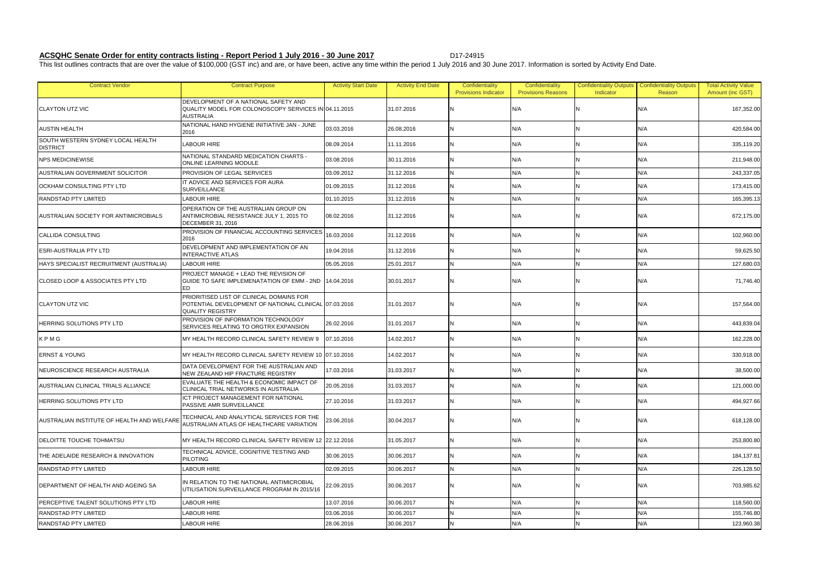## **ACSQHC Senate Order for entity contracts listing - Report Period 1 July 2016 - 30 June 2017** Particle Multi-24915

This list outlines contracts that are over the value of \$100,000 (GST inc) and are, or have been, active any time within the period 1 July 2016 and 30 June 2017. Information is sorted by Activity End Date.

| <b>Contract Vendor</b>                               | <b>Contract Purpose</b>                                                                                                      | <b>Activity Start Date</b> | <b>Activity End Date</b> | Confidentiality<br><b>Provisions Indicator</b> | Confidentiality<br><b>Provisions Reasons</b> | <b>Confidentiality Outputs</b><br>Indicator | <b>Confidentiality Outputs</b><br>Reason | <b>Total Activity Value</b><br>Amount (inc GST) |
|------------------------------------------------------|------------------------------------------------------------------------------------------------------------------------------|----------------------------|--------------------------|------------------------------------------------|----------------------------------------------|---------------------------------------------|------------------------------------------|-------------------------------------------------|
| <b>CLAYTON UTZ VIC</b>                               | DEVELOPMENT OF A NATIONAL SAFETY AND<br>QUALITY MODEL FOR COLONOSCOPY SERVICES IN 04.11.2015<br><b>AUSTRALIA</b>             |                            | 31.07.2016               |                                                | N/A                                          |                                             | N/A                                      | 167,352.00                                      |
| <b>AUSTIN HEALTH</b>                                 | NATIONAL HAND HYGIENE INITIATIVE JAN - JUNE<br>2016                                                                          | 03.03.2016                 | 26.08.2016               |                                                | N/A                                          |                                             | N/A                                      | 420,584.00                                      |
| SOUTH WESTERN SYDNEY LOCAL HEALTH<br><b>DISTRICT</b> | <b>LABOUR HIRE</b>                                                                                                           | 08.09.2014                 | 11.11.2016               |                                                | N/A                                          |                                             | N/A                                      | 335,119.20                                      |
| <b>NPS MEDICINEWISE</b>                              | NATIONAL STANDARD MEDICATION CHARTS -<br><b>ONLINE LEARNING MODULE</b>                                                       | 03.08.2016                 | 30.11.2016               | IN.                                            | N/A                                          |                                             | N/A                                      | 211,948.00                                      |
| AUSTRALIAN GOVERNMENT SOLICITOR                      | <b>PROVISION OF LEGAL SERVICES</b>                                                                                           | 03.09.2012                 | 31.12.2016               | N                                              | N/A                                          | N                                           | N/A                                      | 243,337.05                                      |
| OCKHAM CONSULTING PTY LTD                            | IT ADVICE AND SERVICES FOR AURA<br><b>SURVEILLANCE</b>                                                                       | 01.09.2015                 | 31.12.2016               |                                                | N/A                                          |                                             | N/A                                      | 173,415.00                                      |
| <b>RANDSTAD PTY LIMITED</b>                          | LABOUR HIRE                                                                                                                  | 01.10.2015                 | 31.12.2016               | IN.                                            | N/A                                          | N                                           | N/A                                      | 165,395.13                                      |
| AUSTRALIAN SOCIETY FOR ANTIMICROBIALS                | OPERATION OF THE AUSTRALIAN GROUP ON<br>ANTIMICROBIAL RESISTANCE JULY 1, 2015 TO<br><b>DECEMBER 31, 2016</b>                 | 08.02.2016                 | 31.12.2016               |                                                | N/A                                          |                                             | N/A                                      | 672,175.00                                      |
| <b>CALLIDA CONSULTING</b>                            | PROVISION OF FINANCIAL ACCOUNTING SERVICES<br>2016                                                                           | 16.03.2016                 | 31.12.2016               |                                                | N/A                                          |                                             | N/A                                      | 102,960.00                                      |
| <b>ESRI-AUSTRALIA PTY LTD</b>                        | DEVELOPMENT AND IMPLEMENTATION OF AN<br><b>INTERACTIVE ATLAS</b>                                                             | 19.04.2016                 | 31.12.2016               |                                                | N/A                                          |                                             | N/A                                      | 59,625.50                                       |
| HAYS SPECIALIST RECRUITMENT (AUSTRALIA)              | <b>LABOUR HIRE</b>                                                                                                           | 05.05.2016                 | 25.01.2017               | IN.                                            | N/A                                          | N                                           | N/A                                      | 127,680.03                                      |
| <b>CLOSED LOOP &amp; ASSOCIATES PTY LTD</b>          | PROJECT MANAGE + LEAD THE REVISION OF<br>GUIDE TO SAFE IMPLEMENATATION OF EMM - 2ND 14.04.2016<br><b>ED</b>                  |                            | 30.01.2017               |                                                | N/A                                          |                                             | N/A                                      | 71,746.40                                       |
| <b>CLAYTON UTZ VIC</b>                               | PRIORITISED LIST OF CLINICAL DOMAINS FOR<br>POTENTIAL DEVELOPMENT OF NATIONAL CLINICAL 07.03.2016<br><b>QUALITY REGISTRY</b> |                            | 31.01.2017               |                                                | N/A                                          |                                             | N/A                                      | 157,564.00                                      |
| HERRING SOLUTIONS PTY LTD                            | PROVISION OF INFORMATION TECHNOLOGY<br>SERVICES RELATING TO ORGTRX EXPANSION                                                 | 26.02.2016                 | 31.01.2017               |                                                | N/A                                          |                                             | N/A                                      | 443,839.04                                      |
| KPMG                                                 | IMY HEALTH RECORD CLINICAL SAFETY REVIEW 9                                                                                   | 07.10.2016                 | 14.02.2017               | N                                              | N/A                                          |                                             | N/A                                      | 162,228.00                                      |
| <b>ERNST &amp; YOUNG</b>                             | MY HEALTH RECORD CLINICAL SAFETY REVIEW 10 07.10.2016                                                                        |                            | 14.02.2017               |                                                | N/A                                          |                                             | N/A                                      | 330,918.00                                      |
| NEUROSCIENCE RESEARCH AUSTRALIA                      | DATA DEVELOPMENT FOR THE AUSTRALIAN AND<br>NEW ZEALAND HIP FRACTURE REGISTRY                                                 | 17.03.2016                 | 31.03.2017               | IN.                                            | N/A                                          | N                                           | N/A                                      | 38,500.00                                       |
| AUSTRALIAN CLINICAL TRIALS ALLIANCE                  | EVALUATE THE HEALTH & ECONOMIC IMPACT OF<br>CLINICAL TRIAL NETWORKS IN AUSTRALIA                                             | 20.05.2016                 | 31.03.2017               |                                                | N/A                                          |                                             | N/A                                      | 121,000.00                                      |
| <b>HERRING SOLUTIONS PTY LTD</b>                     | ICT PROJECT MANAGEMENT FOR NATIONAL<br>PASSIVE AMR SURVEILLANCE                                                              | 27.10.2016                 | 31.03.2017               | IN.                                            | N/A                                          | IN.                                         | N/A                                      | 494,927.66                                      |
| AUSTRALIAN INSTITUTE OF HEALTH AND WELFARE           | TECHNICAL AND ANALYTICAL SERVICES FOR THE<br><b>AUSTRALIAN ATLAS OF HEALTHCARE VARIATION</b>                                 | 23.06.2016                 | 30.04.2017               |                                                | N/A                                          |                                             | N/A                                      | 618,128.00                                      |
| <b>DELOITTE TOUCHE TOHMATSU</b>                      | MY HEALTH RECORD CLINICAL SAFETY REVIEW 12 22.12.2016                                                                        |                            | 31.05.2017               | N                                              | N/A                                          |                                             | N/A                                      | 253,800.80                                      |
| THE ADELAIDE RESEARCH & INNOVATION                   | TECHNICAL ADVICE, COGNITIVE TESTING AND<br><b>PILOTING</b>                                                                   | 30.06.2015                 | 30.06.2017               |                                                | N/A                                          |                                             | N/A                                      | 184,137.81                                      |
| <b>RANDSTAD PTY LIMITED</b>                          | <b>LABOUR HIRE</b>                                                                                                           | 02.09.2015                 | 30.06.2017               | N                                              | N/A                                          | N                                           | N/A                                      | 226,128.50                                      |
| DEPARTMENT OF HEALTH AND AGEING SA                   | IN RELATION TO THE NATIONAL ANTIMICROBIAL<br>UTILISATION SURVEILLANCE PROGRAM IN 2015/16                                     | 22.09.2015                 | 30.06.2017               |                                                | N/A                                          |                                             | N/A                                      | 703,985.62                                      |
| <b>PERCEPTIVE TALENT SOLUTIONS PTY LTD</b>           | <b>LABOUR HIRE</b>                                                                                                           | 13.07.2016                 | 30.06.2017               | N                                              | N/A                                          | N                                           | N/A                                      | 118,560.00                                      |
| <b>RANDSTAD PTY LIMITED</b>                          | <b>LABOUR HIRE</b>                                                                                                           | 03.06.2016                 | 30.06.2017               | N                                              | N/A                                          |                                             | N/A                                      | 155,746.80                                      |
| <b>RANDSTAD PTY LIMITED</b>                          | <b>LABOUR HIRE</b>                                                                                                           | 28.06.2016                 | 30.06.2017               | N                                              | N/A                                          | N                                           | N/A                                      | 123,960.38                                      |